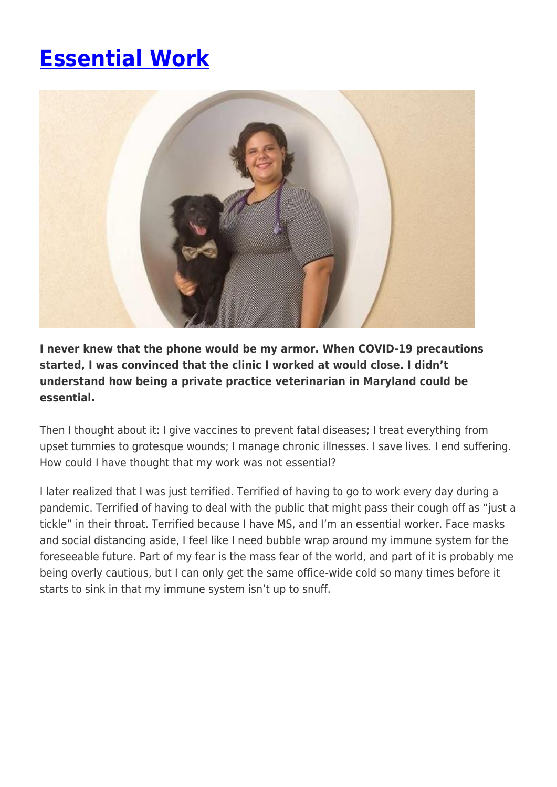## **[Essential Work](https://momentummagazineonline.com/blog/essential-work/)**



**I never knew that the phone would be my armor. When COVID-19 precautions started, I was convinced that the clinic I worked at would close. I didn't understand how being a private practice veterinarian in Maryland could be essential.**

Then I thought about it: I give vaccines to prevent fatal diseases; I treat everything from upset tummies to grotesque wounds; I manage chronic illnesses. I save lives. I end suffering. How could I have thought that my work was not essential?

I later realized that I was just terrified. Terrified of having to go to work every day during a pandemic. Terrified of having to deal with the public that might pass their cough off as "just a tickle" in their throat. Terrified because I have MS, and I'm an essential worker. Face masks and social distancing aside, I feel like I need bubble wrap around my immune system for the foreseeable future. Part of my fear is the mass fear of the world, and part of it is probably me being overly cautious, but I can only get the same office-wide cold so many times before it starts to sink in that my immune system isn't up to snuff.